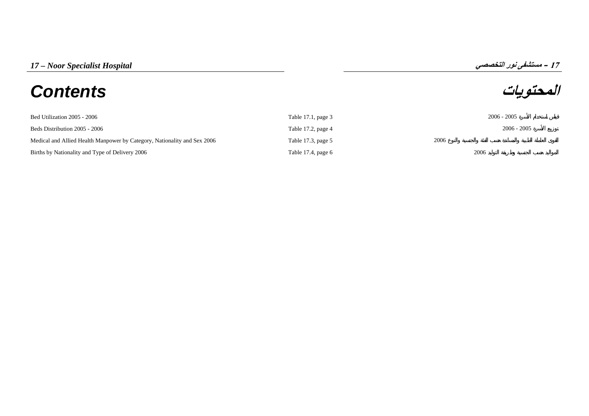# **المحتويات** *Contents*

**17**

| Bed Utilization 2005 - 2006                                              | Table 17.1, page 3   | $2006 - 2005$ |
|--------------------------------------------------------------------------|----------------------|---------------|
| Beds Distribution 2005 - 2006                                            | Table 17.2, page 4   | $2006 - 2005$ |
| Medical and Allied Health Manpower by Category, Nationality and Sex 2006 | Table 17.3, page 5   | 2006          |
| Births by Nationality and Type of Delivery 2006                          | Table 17.4, page $6$ | 2006          |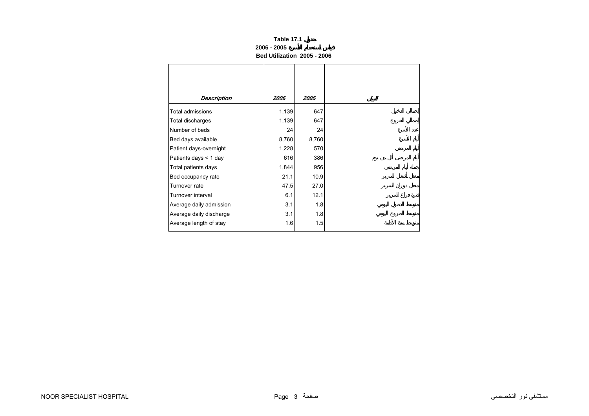# **Table 17.1 2006 - 2005Bed Utilization 2005 - 2006**

<span id="page-1-0"></span>

| <b>Description</b>      | 2006  | <i><b>2005</b></i> |
|-------------------------|-------|--------------------|
| Total admissions        | 1,139 | 647                |
| Total discharges        | 1,139 | 647                |
| Number of beds          | 24    | 24                 |
| Bed days available      | 8,760 | 8,760              |
| Patient days-overnight  | 1,228 | 570                |
| Patients days < 1 day   | 616   | 386                |
| Total patients days     | 1,844 | 956                |
| Bed occupancy rate      | 21.1  | 10.9               |
| Turnover rate           | 47.5  | 27.0               |
| Turnover interval       | 6.1   | 12.1               |
| Average daily admission | 3.1   | 1.8                |
| Average daily discharge | 3.1   | 1.8                |
| Average length of stay  | 1.6   | 1.5                |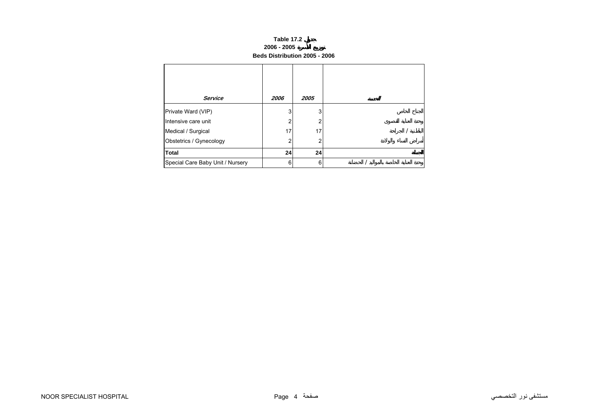### **Table 17.2 2006 - 2005 Beds Distribution 2005 - 2006**

<span id="page-2-0"></span>

| <b>Service</b>                   | 2006 | 2005 |  |
|----------------------------------|------|------|--|
| Private Ward (VIP)               | 3    | 3    |  |
| Intensive care unit              | 2    | 2    |  |
| Medical / Surgical               | 17   | 17   |  |
| Obstetrics / Gynecology          | 2    | 2    |  |
| <b>Total</b>                     | 24   | 24   |  |
| Special Care Baby Unit / Nursery | 6    | 6    |  |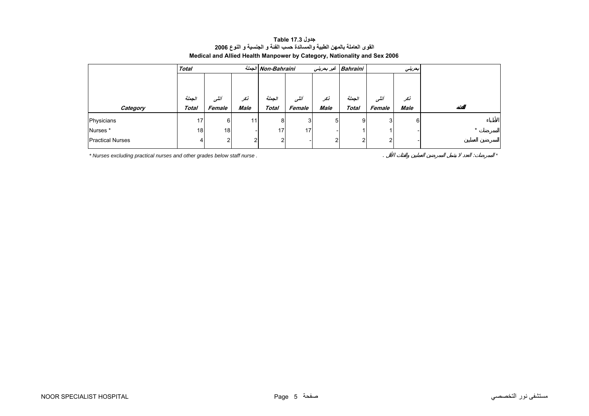<span id="page-3-0"></span>

|                         | <b>Total</b> |                 |                 | الجملة Non-Bahraini |        |             | Bahraini غير بحريني | بعريني |             |  |
|-------------------------|--------------|-----------------|-----------------|---------------------|--------|-------------|---------------------|--------|-------------|--|
|                         |              |                 |                 |                     |        |             |                     |        |             |  |
|                         |              |                 |                 |                     |        |             |                     |        |             |  |
|                         | الجعلة       | أننسى           | نكر             | الحملة              | أننسى  | أنكر        | الجملة              | أننسى  | نكر         |  |
| Category                | <b>Total</b> | Female          | Male            | <b>Total</b>        | Female | <b>Male</b> | <b>Total</b>        | Female | <b>Male</b> |  |
| Physicians              | 17           | 6               | 11 <sub>1</sub> | 8                   | 3      | 5           | 9                   | ົ      | 6           |  |
| Nurses*                 | 18           | 18 <sub>l</sub> |                 | 17 <sub>1</sub>     | 17     |             |                     |        |             |  |
| <b>Practical Nurses</b> | 4            | ົ               | 2               | $\mathcal{P}$       |        | ി           | ົ                   | r      |             |  |

# **جدول 17.3 Table القوى العاملة بالمهن الطبية والمساندة حسب الفئة <sup>و</sup> الجنسية <sup>و</sup> النوع <sup>2006</sup> Medical and Allied Health Manpower by Category, Nationality and Sex 2006**

*\* Nurses excluding practical nurses and other grades below staff nurse .* . : *\**